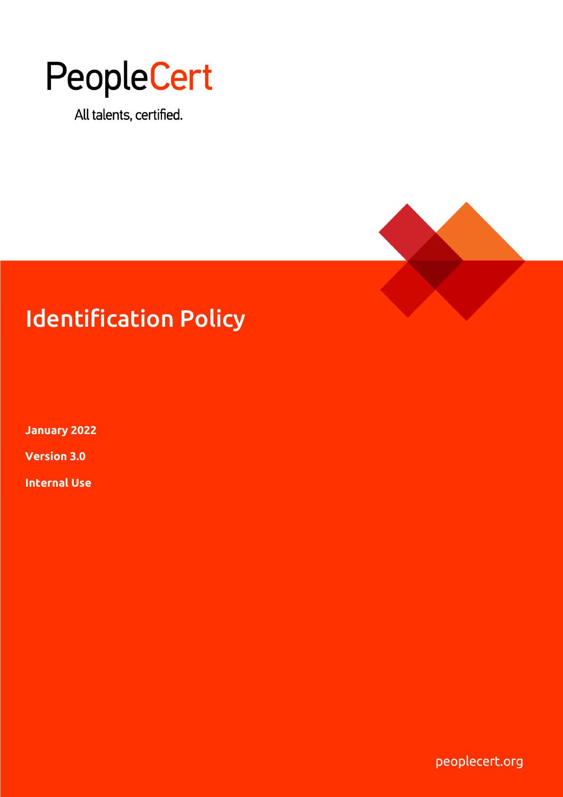

All talents, certified.



# Identification Policy

**January 2022**

**Version 3.0**

**Internal Use**

 $\mathsf P$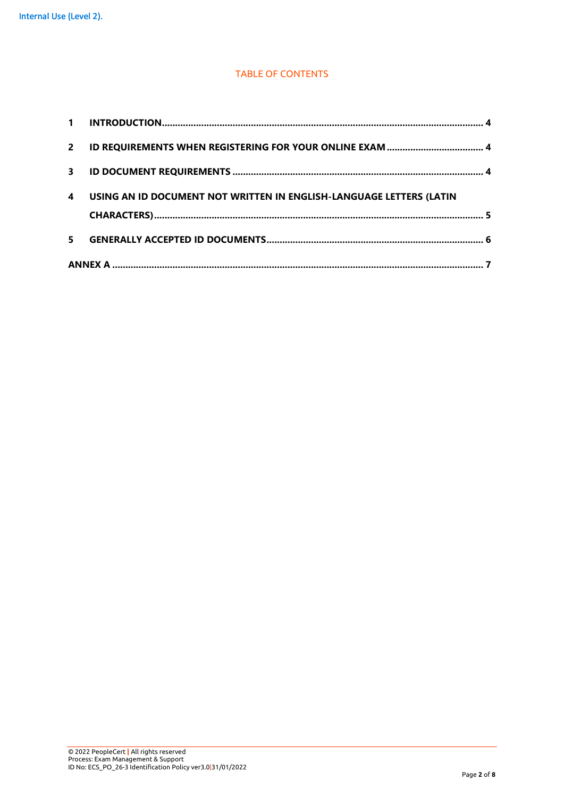#### TABLE OF CONTENTS

| 5.          |                                                                     |  |  |  |
|-------------|---------------------------------------------------------------------|--|--|--|
|             |                                                                     |  |  |  |
| 4           | USING AN ID DOCUMENT NOT WRITTEN IN ENGLISH-LANGUAGE LETTERS (LATIN |  |  |  |
| 3           |                                                                     |  |  |  |
| $2^{\circ}$ |                                                                     |  |  |  |
| $\mathbf 1$ |                                                                     |  |  |  |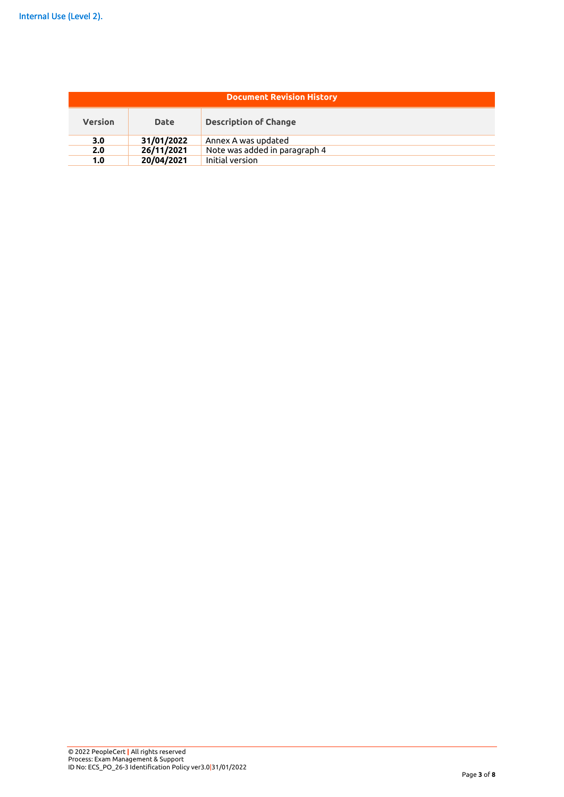| <b>Document Revision History</b> |             |                               |  |  |  |
|----------------------------------|-------------|-------------------------------|--|--|--|
| <b>Version</b>                   | <b>Date</b> | <b>Description of Change</b>  |  |  |  |
| 3.0                              | 31/01/2022  | Annex A was updated           |  |  |  |
| 2.0                              | 26/11/2021  | Note was added in paragraph 4 |  |  |  |
| 1.0                              | 20/04/2021  | Initial version               |  |  |  |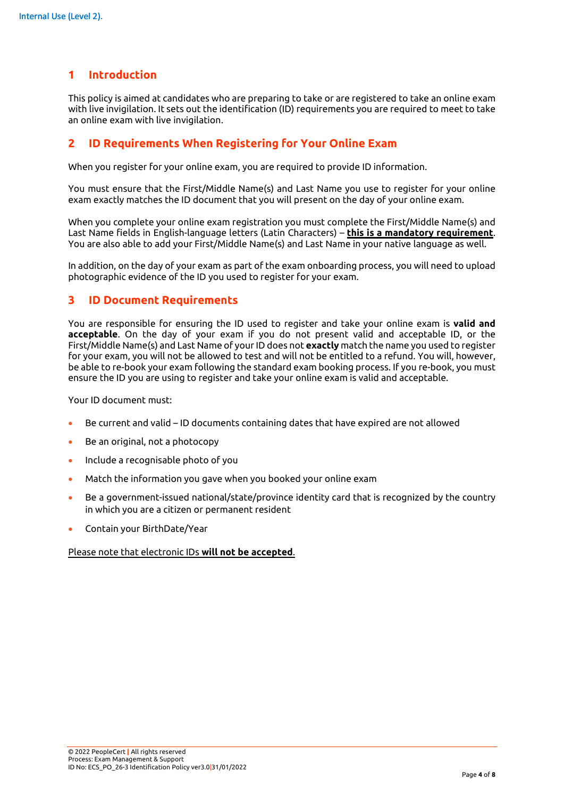# **1 Introduction**

This policy is aimed at candidates who are preparing to take or are registered to take an online exam with live invigilation. It sets out the identification (ID) requirements you are required to meet to take an online exam with live invigilation.

## **2 ID Requirements When Registering for Your Online Exam**

When you register for your online exam, you are required to provide ID information.

You must ensure that the First/Middle Name(s) and Last Name you use to register for your online exam exactly matches the ID document that you will present on the day of your online exam.

When you complete your online exam registration you must complete the First/Middle Name(s) and Last Name fields in English-language letters (Latin Characters) – **this is a mandatory requirement**. You are also able to add your First/Middle Name(s) and Last Name in your native language as well.

In addition, on the day of your exam as part of the exam onboarding process, you will need to upload photographic evidence of the ID you used to register for your exam.

#### **3 ID Document Requirements**

You are responsible for ensuring the ID used to register and take your online exam is **valid and acceptable**. On the day of your exam if you do not present valid and acceptable ID, or the First/Middle Name(s) and Last Name of your ID does not **exactly** match the name you used to register for your exam, you will not be allowed to test and will not be entitled to a refund. You will, however, be able to re-book your exam following the standard exam booking process. If you re-book, you must ensure the ID you are using to register and take your online exam is valid and acceptable.

Your ID document must:

- Be current and valid ID documents containing dates that have expired are not allowed
- Be an original, not a photocopy
- Include a recognisable photo of you
- Match the information you gave when you booked your online exam
- Be a government-issued national/state/province identity card that is recognized by the country in which you are a citizen or permanent resident
- Contain your BirthDate/Year

#### Please note that electronic IDs **will not be accepted**.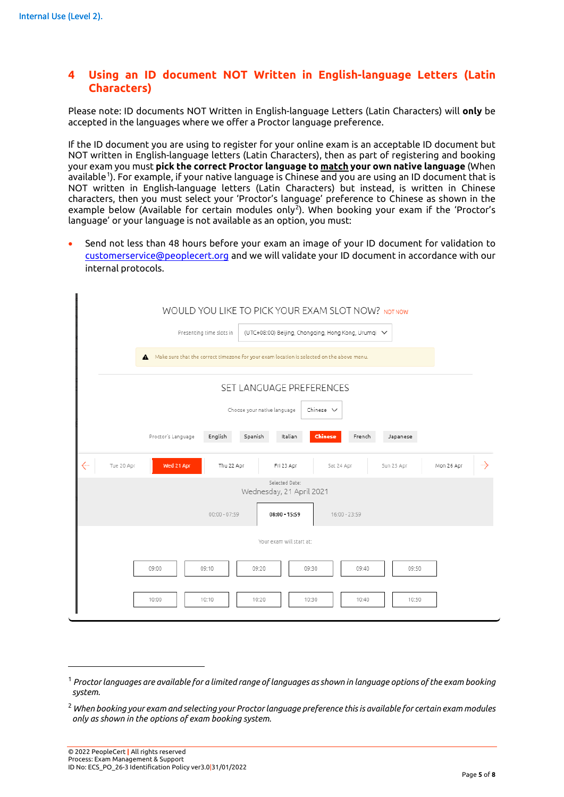# **4 Using an ID document NOT Written in English-language Letters (Latin Characters)**

Please note: ID documents NOT Written in English-language Letters (Latin Characters) will **only** be accepted in the languages where we offer a Proctor language preference.

If the ID document you are using to register for your online exam is an acceptable ID document but NOT written in English-language letters (Latin Characters), then as part of registering and booking your exam you must **pick the correct Proctor language to match your own native language** (When available<sup>[1](#page-4-0)</sup>). For example, if your native language is Chinese and you are using an ID document that is NOT written in English-language letters (Latin Characters) but instead, is written in Chinese characters, then you must select your 'Proctor's language' preference to Chinese as shown in the example below (Available for certain modules only<sup>[2](#page-4-1)</sup>). When booking your exam if the 'Proctor's language' or your language is not available as an option, you must:

• Send not less than 48 hours before your exam an image of your ID document for validation to [customerservice@peoplecert.org](mailto:customerservice@peoplecert.org) and we will validate your ID document in accordance with our internal protocols.

|                                                                                             | WOULD YOU LIKE TO PICK YOUR EXAM SLOT NOW? NOTNOW<br>(UTC+08:00) Beijing, Chongqing, Hong Kong, Urumqi V<br>Presenting time slots in |  |  |  |                                                                                             |
|---------------------------------------------------------------------------------------------|--------------------------------------------------------------------------------------------------------------------------------------|--|--|--|---------------------------------------------------------------------------------------------|
| A Make sure that the correct timezone for your exam location is selected on the above menu. |                                                                                                                                      |  |  |  |                                                                                             |
| SET LANGUAGE PREFERENCES<br>Choose your native language<br>Chinese $\vee$                   |                                                                                                                                      |  |  |  |                                                                                             |
|                                                                                             |                                                                                                                                      |  |  |  | English<br>Spanish<br><b>Chinese</b><br>Proctor's Language<br>Italian<br>French<br>Japanese |
| ←<br>Tue 20 Apr                                                                             | $\rightarrow$<br>Wed 21 Apr<br>Thu 22 Apr<br>Fri 23 Apr<br>Sat 24 Apr<br>Sun 25 Apr<br>Mon 26 Apr                                    |  |  |  |                                                                                             |
| Selected Date:<br>Wednesday, 21 April 2021                                                  |                                                                                                                                      |  |  |  |                                                                                             |
| $00:00 - 07:59$<br>$08:00 - 15:59$<br>$16:00 - 23:59$                                       |                                                                                                                                      |  |  |  |                                                                                             |
| Your exam will start at:                                                                    |                                                                                                                                      |  |  |  |                                                                                             |
|                                                                                             | 09:00<br>09:10<br>09:20<br>09:30<br>09:40<br>09:50                                                                                   |  |  |  |                                                                                             |
|                                                                                             | 10:00<br>10:10<br>10:20<br>10:30<br>10:40<br>10:50                                                                                   |  |  |  |                                                                                             |

<span id="page-4-0"></span><sup>1</sup> *Proctor languages are available for a limited range of languages as shown in language options of the exam booking system.*

<span id="page-4-1"></span><sup>2</sup> *When booking your exam and selecting your Proctor language preference this is available for certain exam modules only as shown in the options of exam booking system.*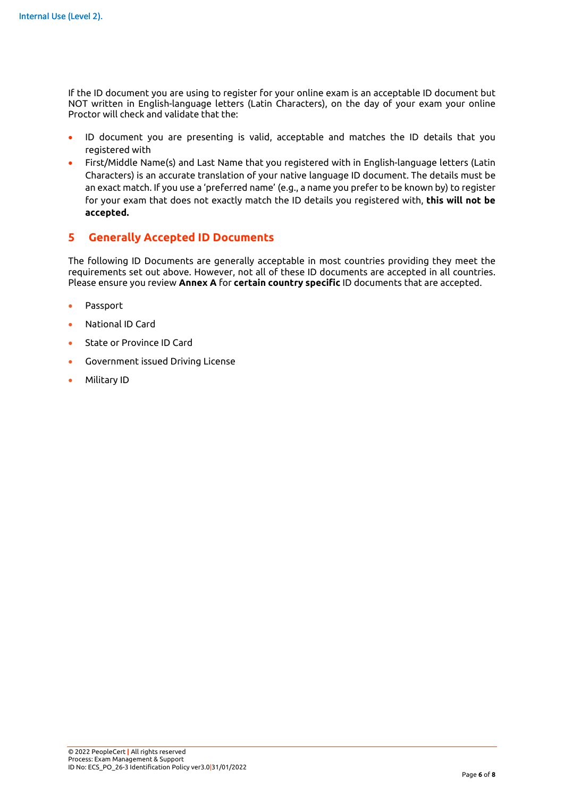If the ID document you are using to register for your online exam is an acceptable ID document but NOT written in English-language letters (Latin Characters), on the day of your exam your online Proctor will check and validate that the:

- ID document you are presenting is valid, acceptable and matches the ID details that you registered with
- First/Middle Name(s) and Last Name that you registered with in English-language letters (Latin Characters) is an accurate translation of your native language ID document. The details must be an exact match. If you use a 'preferred name' (e.g., a name you prefer to be known by) to register for your exam that does not exactly match the ID details you registered with, **this will not be accepted.**

# **5 Generally Accepted ID Documents**

The following ID Documents are generally acceptable in most countries providing they meet the requirements set out above. However, not all of these ID documents are accepted in all countries. Please ensure you review **Annex A** for **certain country specific** ID documents that are accepted.

- Passport
- National ID Card
- State or Province ID Card
- Government issued Driving License
- Military ID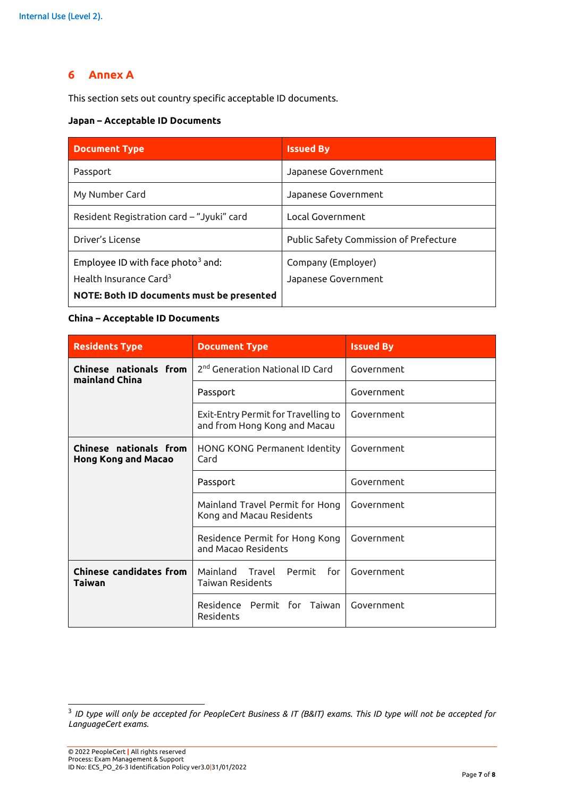# **6 Annex A**

This section sets out country specific acceptable ID documents.

### **Japan – Acceptable ID Documents**

| <b>Document Type</b>                      | <b>Issued By</b>                       |  |
|-------------------------------------------|----------------------------------------|--|
| Passport                                  | Japanese Government                    |  |
| My Number Card                            | Japanese Government                    |  |
| Resident Registration card - "Jyuki" card | Local Government                       |  |
| Driver's License                          | Public Safety Commission of Prefecture |  |
| Employee ID with face photo $3$ and:      | Company (Employer)                     |  |
| Health Insurance Card <sup>3</sup>        | Japanese Government                    |  |
| NOTE: Both ID documents must be presented |                                        |  |

## **China – Acceptable ID Documents**

| <b>Residents Type</b>                                       | <b>Document Type</b>                                                | <b>Issued By</b> |
|-------------------------------------------------------------|---------------------------------------------------------------------|------------------|
| Chinese nationals from<br>mainland China                    | 2 <sup>nd</sup> Generation National ID Card                         | Government       |
|                                                             | Passport                                                            | Government       |
|                                                             | Exit-Entry Permit for Travelling to<br>and from Hong Kong and Macau | Government       |
| <b>Chinese nationals from</b><br><b>Hong Kong and Macao</b> | HONG KONG Permanent Identity<br>Card                                | Government       |
|                                                             | Passport                                                            | Government       |
|                                                             | Mainland Travel Permit for Hong<br>Kong and Macau Residents         | Government       |
|                                                             | Residence Permit for Hong Kong<br>and Macao Residents               | Government       |
| <b>Chinese candidates from</b><br>Taiwan                    | Mainland<br>Travel<br>Permit<br>for<br><b>Taiwan Residents</b>      | Government       |
|                                                             | Residence Permit for Taiwan<br>Residents                            | Government       |

<span id="page-6-0"></span><sup>3</sup> *ID type will only be accepted for PeopleCert Business & IT (B&IT) exams. This ID type will not be accepted for LanguageCert exams.*